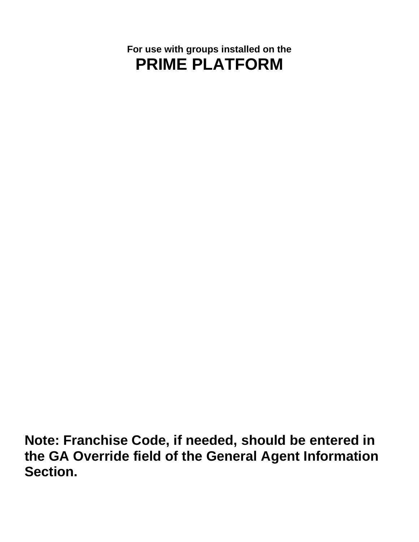# **For use with groups installed on the PRIME PLATFORM**

**Note: Franchise Code, if needed, should be entered in the GA Override field of the General Agent Information Section.**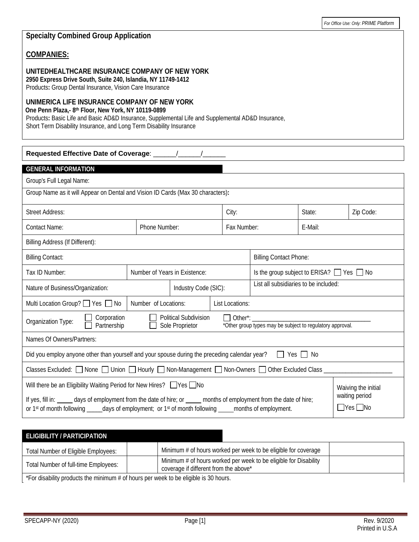| Products: Group Dental Insurance, Vision Care Insurance | UNITEDHEALTHCARE INSURANCE COMPANY OF NEW YORK<br>2950 Express Drive South, Suite 240, Islandia, NY 11749-1412                                                                                                           |             |         |
|---------------------------------------------------------|--------------------------------------------------------------------------------------------------------------------------------------------------------------------------------------------------------------------------|-------------|---------|
| One Penn Plaza,- 8th Floor, New York, NY 10119-0899     | UNIMERICA LIFE INSURANCE COMPANY OF NEW YORK<br>Products: Basic Life and Basic AD&D Insurance, Supplemental Life and Supplemental AD&D Insurance,<br>Short Term Disability Insurance, and Long Term Disability Insurance |             |         |
|                                                         |                                                                                                                                                                                                                          |             |         |
|                                                         |                                                                                                                                                                                                                          |             |         |
| <b>GENERAL INFORMATION</b><br>Group's Full Legal Name:  |                                                                                                                                                                                                                          |             |         |
|                                                         | Group Name as it will Appear on Dental and Vision ID Cards (Max 30 characters):                                                                                                                                          |             |         |
| Street Address:                                         |                                                                                                                                                                                                                          | City:       | State:  |
| Contact Name:                                           | Phone Number:                                                                                                                                                                                                            | Fax Number: | F-Mail: |
| Billing Address (If Different):                         |                                                                                                                                                                                                                          |             |         |

## **Specialty Combined Group Application**

### **COMPANIES:**

Street Address: Street Address: Street Address: Street Address: 2010 and 21 p Code: 21 p Code: 21 p Code: 21 p Code: Tax ID Number:  $\Box$  Number of Years in Existence:  $\Box$  Is the group subject to ERISA?  $\Box$  Yes  $\Box$  No Nature of Business/Organization: Industry Code (SIC): List all subsidiaries to be included: Multi Location Group?  $\Box$  Yes  $\Box$  No | Number of Locations: | List Locations: Political Subdivision Organization Type: Corporation П Other\*: \_\_\_\_\_\_\_\_\_\_\_\_\_\_\_\_\_\_\_\_\_\_\_\_\_\_\_\_\_\_\_\_\_\_\_\_\_\_ Partnership Sole Proprietor  $\Box$ \*Other group types may be subject to regulatory approval. Names Of Owners/Partners: Did you employ anyone other than yourself and your spouse during the preceding calendar year?  $\Box$  Yes  $\Box$  No Classes Excluded:  $\Box$  None  $\Box$  Union  $\Box$  Hourly  $\Box$  Non-Management  $\Box$  Non-Owners  $\Box$  Other Excluded Class Will there be an Eligibility Waiting Period for New Hires? Ness No Waiving the initial waiting period If yes, fill in: days of employment from the date of hire; or months of employment from the date of hire;  $\Box$ Yes  $\Box$ No or 1<sup>st</sup> of month following \_\_\_\_\_days of employment; or 1<sup>st</sup> of month following \_\_\_\_\_months of employment.

## **ELIGIBILITY / PARTICIPATION**

| Total Number of Eligible Employees:                                                  |  | Minimum # of hours worked per week to be eligible for coverage                                            |  |  |
|--------------------------------------------------------------------------------------|--|-----------------------------------------------------------------------------------------------------------|--|--|
| Total Number of full-time Employees:                                                 |  | Minimum # of hours worked per week to be eligible for Disability<br>coverage if different from the above* |  |  |
| *For disability products the minimum # of hours per week to be eligible is 30 hours. |  |                                                                                                           |  |  |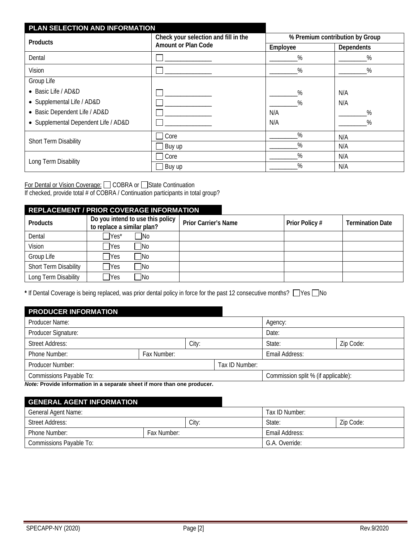| PLAN SELECTION AND INFORMATION       |                                      |                                 |                   |  |
|--------------------------------------|--------------------------------------|---------------------------------|-------------------|--|
| <b>Products</b>                      | Check your selection and fill in the | % Premium contribution by Group |                   |  |
|                                      | <b>Amount or Plan Code</b>           | Employee                        | <b>Dependents</b> |  |
| Dental                               |                                      | %                               | %                 |  |
| Vision                               |                                      | %                               | %                 |  |
| Group Life                           |                                      |                                 |                   |  |
| • Basic Life / AD&D                  |                                      | %                               | N/A               |  |
| • Supplemental Life / AD&D           |                                      | %                               | N/A               |  |
| • Basic Dependent Life / AD&D        |                                      | N/A                             | $\%$              |  |
| • Supplemental Dependent Life / AD&D |                                      | N/A                             | %                 |  |
| Short Term Disability                | Core                                 | %                               | N/A               |  |
|                                      | Buy up                               | %                               | N/A               |  |
|                                      | Core                                 | $\%$                            | N/A               |  |
| Long Term Disability                 | Buy up                               | %                               | N/A               |  |

For Dental or Vision Coverage: COBRA or State Continuation If checked, provide total # of COBRA / Continuation participants in total group?

## **REPLACEMENT / PRIOR COVERAGE INFORMATION Products Do you intend to use this policy to replace a similar plan? Prior Carrier's Name Prior Policy # Termination Date** Dental No Nes<sup>\*</sup> No Vision Reserves No Group Life  $\Box$  Yes  $\Box$  No Short Term Disability | Pyes No Long Term Disability | Pyes No

\* If Dental Coverage is being replaced, was prior dental policy in force for the past 12 consecutive months?  $\Box$  Yes  $\Box$  No

| <b>PRODUCER INFORMATION</b>                                                                    |             |       |                                     |                |  |           |
|------------------------------------------------------------------------------------------------|-------------|-------|-------------------------------------|----------------|--|-----------|
| Producer Name:                                                                                 |             |       | Agency:                             |                |  |           |
| Producer Signature:                                                                            |             |       | Date:                               |                |  |           |
| Street Address:                                                                                |             | City: |                                     | State:         |  | Zip Code: |
| Phone Number:                                                                                  | Fax Number: |       |                                     | Email Address: |  |           |
| Producer Number:                                                                               |             |       | Tax ID Number:                      |                |  |           |
| Commissions Payable To:                                                                        |             |       | Commission split % (if applicable): |                |  |           |
| Alian - Married de la france et car la represence de la car lleva est alian para anche devenir |             |       |                                     |                |  |           |

*Note:* **Provide information in a separate sheet if more than one producer.** 

## **GENERAL AGENT INFORMATION**

| General Agent Name:          |  |                | Tax ID Number: |           |  |
|------------------------------|--|----------------|----------------|-----------|--|
| Street Address:              |  | City:          | State:         | Zip Code: |  |
| Phone Number:<br>Fax Number: |  |                | Email Address: |           |  |
| Commissions Payable To:      |  | G.A. Override: |                |           |  |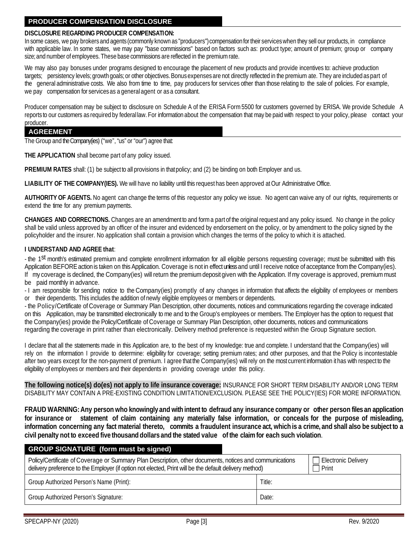## **PRODUCER COMPENSATION DISCLOSURE**

#### **DISCLOSURE REGARDING PRODUCER COMPENSATION:**

In some cases, we pay brokers and agents(commonly known as "producers")compensationfor their serviceswhen they sell our products, in compliance with applicable law. In some states, we may pay "base commissions" based on factors such as: product type; amount of premium; group or company size; and number of employees. These base commissions are reflected in the premium rate.

We may also pay bonuses under programs designed to encourage the placement of new products and provide incentives to: achieve production targets; persistency levels; growth goals; or other objectives. Bonus expenses are not directly reflected in the premium ate. They are included as part of the general administrative costs. We also from time to time, pay producers for services other than those relating to the sale of policies. For example, we pay compensation for services as a general agent or as a consultant.

Producer compensation may be subject to disclosure on Schedule A of the ERISA Form5500 for customers governed by ERISA. We provide Schedule A reports to our customers as required by federal law. For information about the compensation that may be paid with respect to your policy, please contact your producer.

#### **AGREEMENT**

The Group and the Company(ies) ("we", "us" or "our") agree that:

**THE APPLICATION** shall become part of any policy issued.

**PREMIUM RATES** shall: (1) be subject to all provisions in thatpolicy; and (2) be binding on both Employer and us.

**LIABILITY OF THE COMPANY(IES).** We will have no liability until this request has been approved atOur Administrative Office.

**AUTHORITY OF AGENTS.** No agent can change the terms of this requestor any policy we issue. No agent can waive any of our rights, requirements or extend the time for any premium payments.

**CHANGES AND CORRECTIONS.** Changes are an amendment to and form a part of the original request and any policy issued. No change in the policy shall be valid unless approved by an officer of the insurer and evidenced by endorsement on the policy, or by amendment to the policy signed by the policyholder and the insurer. No application shall contain a provision which changes the terms of the policy to which it is attached.

#### **I UNDERSTAND AND AGREE that**:

- the 1st month's estimated premium and complete enrollment information for all eligible persons requesting coverage; must be submitted with this Application BEFORE action is taken on this Application. Coverage is not in effect unless and until I receive notice of acceptance from the Company(ies). If my coverage is declined, the Company(ies) will return the premiumdeposit given with the Application. If my coverage is approved, premiummust be paid monthly in advance.

- I am responsible for sending notice to the Company(ies) promptly of any changes in information that affects the eligibility of employees or members or their dependents. This includes the addition of newly eligible employees or members or dependents.

- the Policy/Certificate of Coverage or Summary Plan Description, other documents, notices and communications regarding the coverage indicated on this Application, may be transmitted electronically tome and to the Group's employees or members. The Employer has the option to request that the Company(ies) provide the Policy/Certificate of Coverage or Summary Plan Description, other documents, notices and communications regarding the coverage in print rather than electronically. Delivery method preference is requested within the Group Signature section.

I declare that all the statements made in this Application are, to the best of my knowledge: true and complete. I understand that the Company(ies) will rely on the information I provide to determine: eligibility for coverage; setting premium rates; and other purposes, and that the Policy is incontestable after two years except for the non-payment of premium. I agree that the Company(ies) will rely on the most current information it has with respect to the eligibility of employees or members and their dependents in providing coverage under this policy.

**The following notice(s) do(es) not apply to life insurance coverage:** INSURANCE FOR SHORT TERM DISABILITY AND/OR LONG TERM DISABILITY MAY CONTAIN A PRE-EXISTING CONDITION LIMITATION/EXCLUSION. PLEASE SEE THE POLICY(IES) FOR MORE INFORMATION.

FRAUD WARNING: Any person who knowingly and with intent to defraud any insurance company or other person files an application for insurance or statement of claim containing any materially false information, or conceals for the purpose of misleading, information concerning any fact material thereto, commits a fraudulent insurance act, which is a crime, and shall also be subject to a civil penalty not to exceed five thousand dollars and the stated value of the claim for each such violation.

| <b>GROUP SIGNATURE</b> (form must be signed)                                                                                                                                                                      |                              |  |
|-------------------------------------------------------------------------------------------------------------------------------------------------------------------------------------------------------------------|------------------------------|--|
| Policy/Certificate of Coverage or Summary Plan Description, other documents, notices and communications<br>delivery preference to the Employer (if option not elected, Print will be the default delivery method) | Electronic Delivery<br>Print |  |
| Group Authorized Person's Name (Print):                                                                                                                                                                           |                              |  |
| <b>Group Authorized Person's Signature:</b>                                                                                                                                                                       | Date:                        |  |